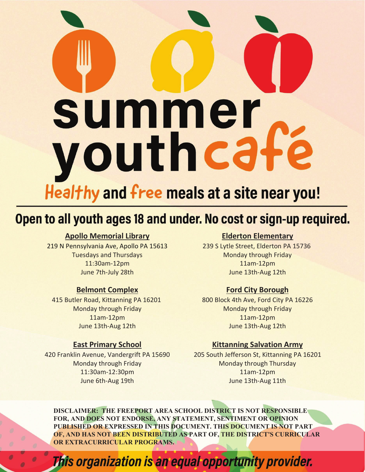

# Open to all youth ages 18 and under. No cost or sign-up required.

# **Apollo Memorial Library**

219 N Pennsylvania Ave, Apollo PA 15613 Tuesdays and Thursdays 11:30am-12pm June 7th-July 28th

#### **Belmont Complex**

415 Butler Road, Kittanning PA 16201 Monday through Friday 11am-12pm June 13th-Aug 12th

#### **East Primary School**

420 Franklin Avenue, Vandergrift PA 15690 Monday through Friday 11:30am-12:30pm June 6th-Aug 19th

## **Elderton Elementary**

239 S Lytle Street, Elderton PA 15736 Monday through Friday 11am-12pm June 13th-Aug 12th

## **Ford City Borough**

800 Block 4th Ave, Ford City PA 16226 Monday through Friday 11am-12pm June 13th-Aug 12th

#### **Kittanning Salvation Army**

205 South Jefferson St, Kittanning PA 16201 Monday through Thursday 11am-12pm June 13th-Aug 11th

**DISCLAIMER: THE FREEPORT AREA SCHOOL DISTRICT IS NOT RESPONSIBLE FOR, AND DOES NOT ENDORSE, ANY STATEMENT, SENTIMENT OR OPINION PUBLISHED OR EXPRESSED IN THIS DOCUMENT. THIS DOCUMENT IS NOT PART OF, AND HAS NOT BEEN DISTRIBUTED AS PART OF, THE DISTRICT'S CURRICULAR OR EXTRACURRICULAR PROGRAMS.** 

This organization is an equal opportunity provider.